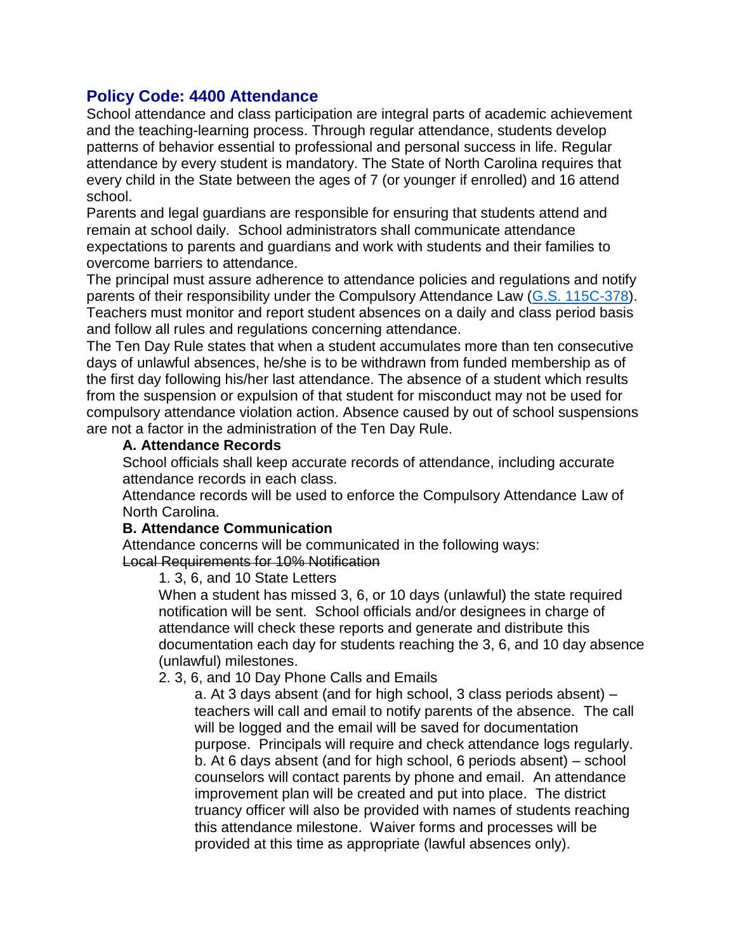# **Policy Code: 4400 Attendance**

School attendance and class participation are integral parts of academic achievement and the teaching-learning process. Through regular attendance, students develop patterns of behavior essential to professional and personal success in life. Regular attendance by every student is mandatory. The State of North Carolina requires that every child in the State between the ages of 7 (or younger if enrolled) and 16 attend school.

Parents and legal guardians are responsible for ensuring that students attend and remain at school daily. School administrators shall communicate attendance expectations to parents and guardians and work with students and their families to overcome barriers to attendance.

The principal must assure adherence to attendance policies and regulations and notify parents of their responsibility under the Compulsory Attendance Law [\(G.S. 115C-378\)](http://redirector.microscribepub.com/?cat=stat&loc=nc&id=115c&spec=378). Teachers must monitor and report student absences on a daily and class period basis and follow all rules and regulations concerning attendance.

The Ten Day Rule states that when a student accumulates more than ten consecutive days of unlawful absences, he/she is to be withdrawn from funded membership as of the first day following his/her last attendance. The absence of a student which results from the suspension or expulsion of that student for misconduct may not be used for compulsory attendance violation action. Absence caused by out of school suspensions are not a factor in the administration of the Ten Day Rule.

#### **A. Attendance Records**

School officials shall keep accurate records of attendance, including accurate attendance records in each class.

Attendance records will be used to enforce the Compulsory Attendance Law of North Carolina.

#### **B. Attendance Communication**

Attendance concerns will be communicated in the following ways: Local Requirements for 10% Notification

1. 3, 6, and 10 State Letters

When a student has missed 3, 6, or 10 days (unlawful) the state required notification will be sent. School officials and/or designees in charge of attendance will check these reports and generate and distribute this documentation each day for students reaching the 3, 6, and 10 day absence (unlawful) milestones.

# 2. 3, 6, and 10 Day Phone Calls and Emails

a. At 3 days absent (and for high school, 3 class periods absent) – teachers will call and email to notify parents of the absence. The call will be logged and the email will be saved for documentation purpose. Principals will require and check attendance logs regularly. b. At 6 days absent (and for high school, 6 periods absent) – school counselors will contact parents by phone and email. An attendance improvement plan will be created and put into place. The district truancy officer will also be provided with names of students reaching this attendance milestone. Waiver forms and processes will be provided at this time as appropriate (lawful absences only).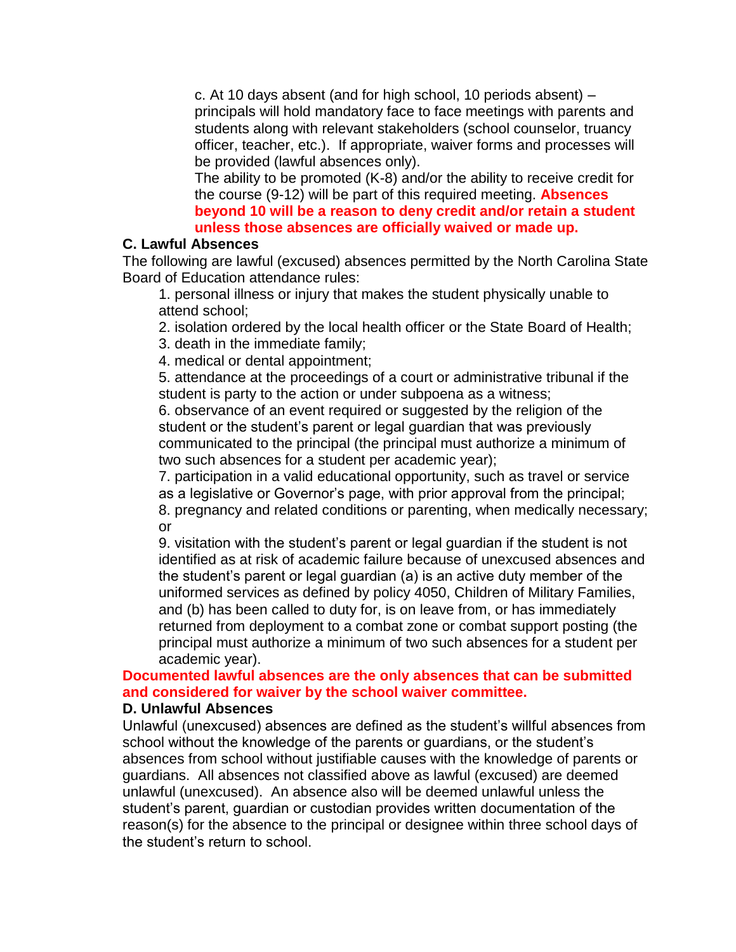c. At 10 days absent (and for high school, 10 periods absent) – principals will hold mandatory face to face meetings with parents and students along with relevant stakeholders (school counselor, truancy officer, teacher, etc.). If appropriate, waiver forms and processes will be provided (lawful absences only).

The ability to be promoted (K-8) and/or the ability to receive credit for the course (9-12) will be part of this required meeting. **Absences beyond 10 will be a reason to deny credit and/or retain a student unless those absences are officially waived or made up.**

#### **C. Lawful Absences**

The following are lawful (excused) absences permitted by the North Carolina State Board of Education attendance rules:

1. personal illness or injury that makes the student physically unable to attend school;

2. isolation ordered by the local health officer or the State Board of Health;

3. death in the immediate family;

4. medical or dental appointment;

5. attendance at the proceedings of a court or administrative tribunal if the student is party to the action or under subpoena as a witness;

6. observance of an event required or suggested by the religion of the student or the student's parent or legal guardian that was previously communicated to the principal (the principal must authorize a minimum of two such absences for a student per academic year);

7. participation in a valid educational opportunity, such as travel or service as a legislative or Governor's page, with prior approval from the principal; 8. pregnancy and related conditions or parenting, when medically necessary; or

9. visitation with the student's parent or legal guardian if the student is not identified as at risk of academic failure because of unexcused absences and the student's parent or legal guardian (a) is an active duty member of the uniformed services as defined by policy 4050, Children of Military Families, and (b) has been called to duty for, is on leave from, or has immediately returned from deployment to a combat zone or combat support posting (the principal must authorize a minimum of two such absences for a student per academic year).

# **Documented lawful absences are the only absences that can be submitted and considered for waiver by the school waiver committee.**

#### **D. Unlawful Absences**

Unlawful (unexcused) absences are defined as the student's willful absences from school without the knowledge of the parents or guardians, or the student's absences from school without justifiable causes with the knowledge of parents or guardians. All absences not classified above as lawful (excused) are deemed unlawful (unexcused). An absence also will be deemed unlawful unless the student's parent, guardian or custodian provides written documentation of the reason(s) for the absence to the principal or designee within three school days of the student's return to school.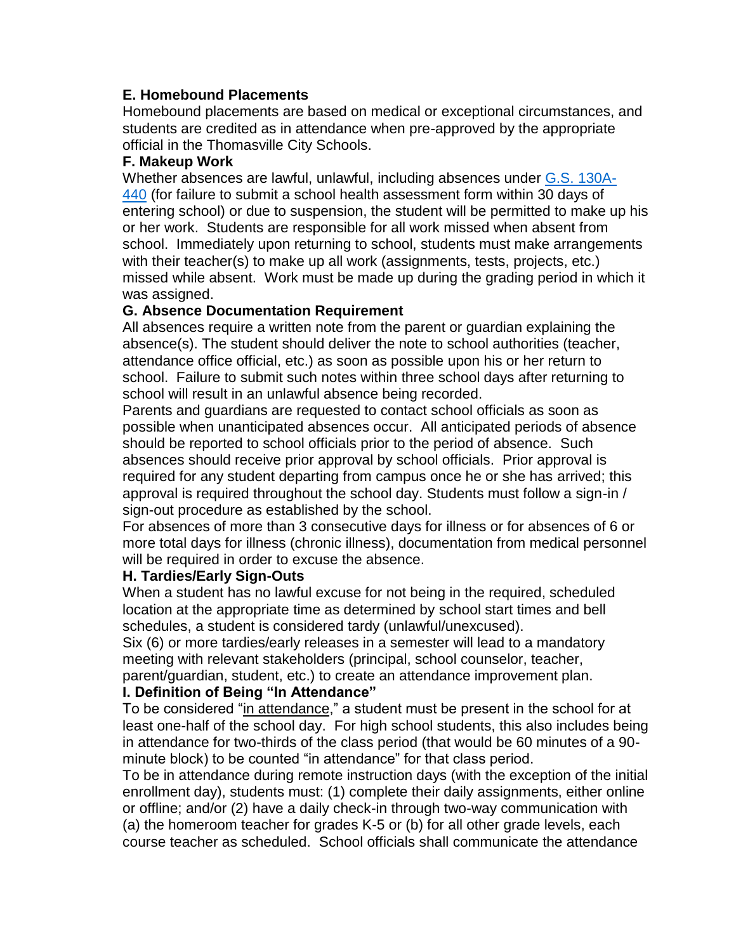# **E. Homebound Placements**

Homebound placements are based on medical or exceptional circumstances, and students are credited as in attendance when pre-approved by the appropriate official in the Thomasville City Schools.

# **F. Makeup Work**

Whether absences are lawful, unlawful, including absences under [G.S. 130A-](http://redirector.microscribepub.com/?cat=stat&loc=nc&id=130a&spec=440)[440](http://redirector.microscribepub.com/?cat=stat&loc=nc&id=130a&spec=440) (for failure to submit a school health assessment form within 30 days of entering school) or due to suspension, the student will be permitted to make up his or her work. Students are responsible for all work missed when absent from school. Immediately upon returning to school, students must make arrangements with their teacher(s) to make up all work (assignments, tests, projects, etc.) missed while absent. Work must be made up during the grading period in which it was assigned.

# **G. Absence Documentation Requirement**

All absences require a written note from the parent or guardian explaining the absence(s). The student should deliver the note to school authorities (teacher, attendance office official, etc.) as soon as possible upon his or her return to school. Failure to submit such notes within three school days after returning to school will result in an unlawful absence being recorded.

Parents and guardians are requested to contact school officials as soon as possible when unanticipated absences occur. All anticipated periods of absence should be reported to school officials prior to the period of absence. Such absences should receive prior approval by school officials. Prior approval is required for any student departing from campus once he or she has arrived; this approval is required throughout the school day. Students must follow a sign-in / sign-out procedure as established by the school.

For absences of more than 3 consecutive days for illness or for absences of 6 or more total days for illness (chronic illness), documentation from medical personnel will be required in order to excuse the absence.

# **H. Tardies/Early Sign-Outs**

When a student has no lawful excuse for not being in the required, scheduled location at the appropriate time as determined by school start times and bell schedules, a student is considered tardy (unlawful/unexcused).

Six (6) or more tardies/early releases in a semester will lead to a mandatory meeting with relevant stakeholders (principal, school counselor, teacher, parent/guardian, student, etc.) to create an attendance improvement plan.

# **I. Definition of Being "In Attendance"**

To be considered "in attendance," a student must be present in the school for at least one-half of the school day. For high school students, this also includes being in attendance for two-thirds of the class period (that would be 60 minutes of a 90 minute block) to be counted "in attendance" for that class period.

To be in attendance during remote instruction days (with the exception of the initial enrollment day), students must: (1) complete their daily assignments, either online or offline; and/or (2) have a daily check-in through two-way communication with (a) the homeroom teacher for grades K-5 or (b) for all other grade levels, each course teacher as scheduled. School officials shall communicate the attendance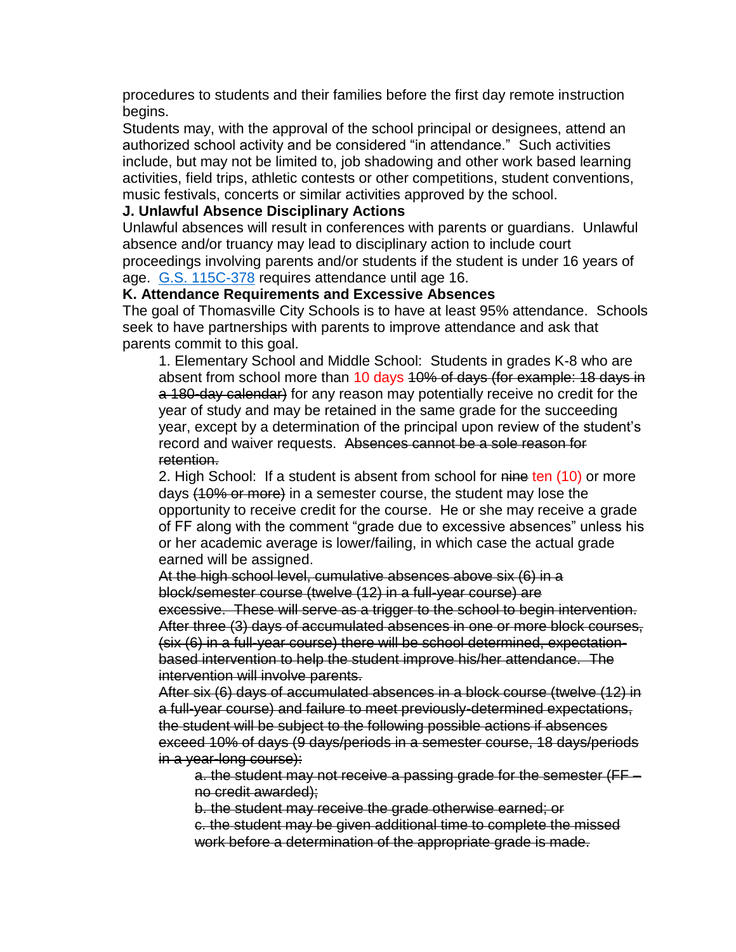procedures to students and their families before the first day remote instruction begins.

Students may, with the approval of the school principal or designees, attend an authorized school activity and be considered "in attendance." Such activities include, but may not be limited to, job shadowing and other work based learning activities, field trips, athletic contests or other competitions, student conventions, music festivals, concerts or similar activities approved by the school.

#### **J. Unlawful Absence Disciplinary Actions**

Unlawful absences will result in conferences with parents or guardians. Unlawful absence and/or truancy may lead to disciplinary action to include court proceedings involving parents and/or students if the student is under 16 years of age. [G.S. 115C-378](http://redirector.microscribepub.com/?cat=stat&loc=nc&id=115c&spec=378) requires attendance until age 16.

#### **K. Attendance Requirements and Excessive Absences**

The goal of Thomasville City Schools is to have at least 95% attendance. Schools seek to have partnerships with parents to improve attendance and ask that parents commit to this goal.

1. Elementary School and Middle School: Students in grades K-8 who are absent from school more than 10 days 10% of days (for example: 18 days in a 180-day calendar) for any reason may potentially receive no credit for the year of study and may be retained in the same grade for the succeeding year, except by a determination of the principal upon review of the student's record and waiver requests. Absences cannot be a sole reason for retention.

2. High School: If a student is absent from school for nine ten (10) or more days (10% or more) in a semester course, the student may lose the opportunity to receive credit for the course. He or she may receive a grade of FF along with the comment "grade due to excessive absences" unless his or her academic average is lower/failing, in which case the actual grade earned will be assigned.

At the high school level, cumulative absences above six (6) in a block/semester course (twelve (12) in a full-year course) are

excessive. These will serve as a trigger to the school to begin intervention. After three (3) days of accumulated absences in one or more block courses, (six (6) in a full-year course) there will be school determined, expectationbased intervention to help the student improve his/her attendance. The intervention will involve parents.

After six (6) days of accumulated absences in a block course (twelve (12) in a full-year course) and failure to meet previously-determined expectations, the student will be subject to the following possible actions if absences exceed 10% of days (9 days/periods in a semester course, 18 days/periods in a year-long course):

a. the student may not receive a passing grade for the semester (FF – no credit awarded);

b. the student may receive the grade otherwise earned; or c. the student may be given additional time to complete the missed

work before a determination of the appropriate grade is made.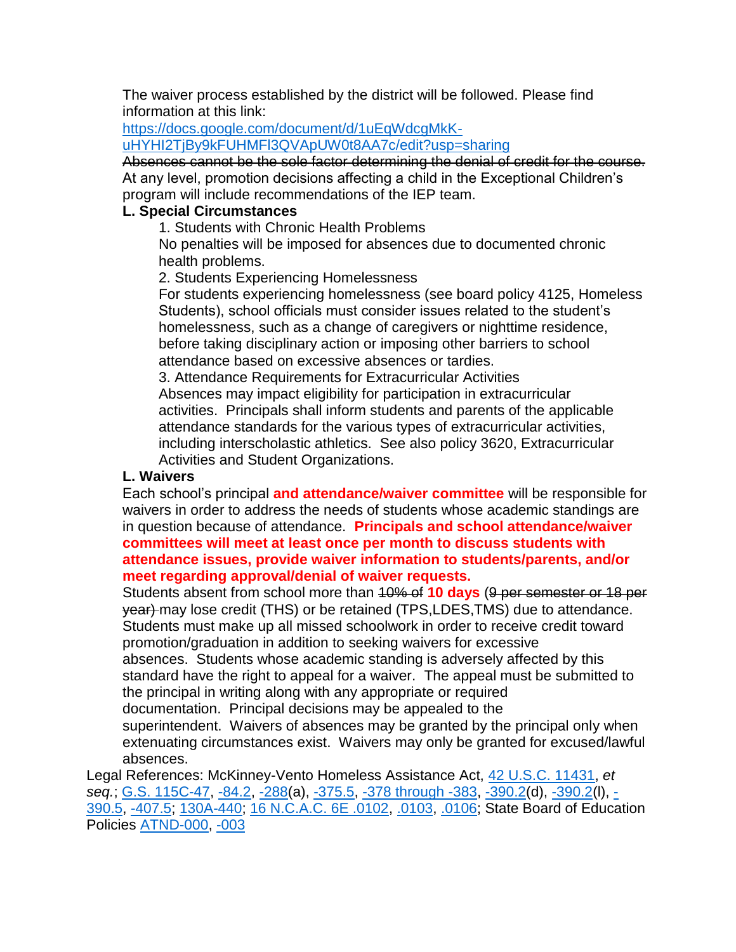The waiver process established by the district will be followed. Please find information at this link:

[https://docs.google.com/document/d/1uEqWdcgMkK-](https://docs.google.com/document/d/1uEqWdcgMkK-uHYHI2TjBy9kFUHMFl3QVApUW0t8AA7c/edit?usp=sharing)

[uHYHI2TjBy9kFUHMFl3QVApUW0t8AA7c/edit?usp=sharing](https://docs.google.com/document/d/1uEqWdcgMkK-uHYHI2TjBy9kFUHMFl3QVApUW0t8AA7c/edit?usp=sharing)

Absences cannot be the sole factor determining the denial of credit for the course. At any level, promotion decisions affecting a child in the Exceptional Children's program will include recommendations of the IEP team.

#### **L. Special Circumstances**

1. Students with Chronic Health Problems

No penalties will be imposed for absences due to documented chronic health problems.

2. Students Experiencing Homelessness

For students experiencing homelessness (see board policy 4125, Homeless Students), school officials must consider issues related to the student's homelessness, such as a change of caregivers or nighttime residence, before taking disciplinary action or imposing other barriers to school attendance based on excessive absences or tardies.

3. Attendance Requirements for Extracurricular Activities Absences may impact eligibility for participation in extracurricular activities. Principals shall inform students and parents of the applicable attendance standards for the various types of extracurricular activities, including interscholastic athletics. See also policy 3620, Extracurricular Activities and Student Organizations.

#### **L. Waivers**

Each school's principal **and attendance/waiver committee** will be responsible for waivers in order to address the needs of students whose academic standings are in question because of attendance. **Principals and school attendance/waiver committees will meet at least once per month to discuss students with attendance issues, provide waiver information to students/parents, and/or meet regarding approval/denial of waiver requests.**

Students absent from school more than 10% of **10 days** (9 per semester or 18 per year) may lose credit (THS) or be retained (TPS,LDES,TMS) due to attendance. Students must make up all missed schoolwork in order to receive credit toward promotion/graduation in addition to seeking waivers for excessive absences. Students whose academic standing is adversely affected by this standard have the right to appeal for a waiver. The appeal must be submitted to the principal in writing along with any appropriate or required documentation. Principal decisions may be appealed to the superintendent. Waivers of absences may be granted by the principal only when extenuating circumstances exist. Waivers may only be granted for excused/lawful absences.

Legal References: McKinney-Vento Homeless Assistance Act, [42 U.S.C. 11431,](http://redirector.microscribepub.com/?cat=usc&loc=us&id=42-11431&) *et seq.*; [G.S. 115C-47,](http://redirector.microscribepub.com/?cat=stat&loc=nc&id=115c&spec=47) [-84.2,](http://redirector.microscribepub.com/?cat=stat&loc=nc&id=115c&spec=84.2) [-288\(](http://redirector.microscribepub.com/?cat=stat&loc=nc&id=115c&spec=288)a), [-375.5,](http://redirector.microscribepub.com/?cat=stat&loc=nc&id=115c&spec=375.5) [-378 through -383,](http://redirector.microscribepub.com/?cat=stat&loc=nc&id=115c&) [-390.2\(](http://redirector.microscribepub.com/?cat=stat&loc=nc&id=115c&spec=390.2)d), [-390.2\(](http://redirector.microscribepub.com/?cat=stat&loc=nc&id=115c&spec=390.2)l), [-](http://redirector.microscribepub.com/?cat=stat&loc=nc&id=115c&spec=390.5) [390.5,](http://redirector.microscribepub.com/?cat=stat&loc=nc&id=115c&spec=390.5) [-407.5;](http://redirector.microscribepub.com/?cat=stat&loc=nc&id=115c&spec=407.5) [130A-440;](http://redirector.microscribepub.com/?cat=stat&loc=nc&id=130a&spec=440) [16 N.C.A.C. 6E .0102,](http://redirector.microscribepub.com/?cat=code&loc=nc&id=16&spec=6e.0102) [.0103,](http://redirector.microscribepub.com/?cat=code&loc=nc&id=16&spec=6e.0103) [.0106;](http://redirector.microscribepub.com/?cat=code&loc=nc&id=16&spec=6E.0106) State Board of Education Policies [ATND-000,](http://redirector.microscribepub.com/?cat=pol&loc=nc&id=atnd-000&) [-003](http://redirector.microscribepub.com/?cat=pol&loc=nc&id=atnd-003&)